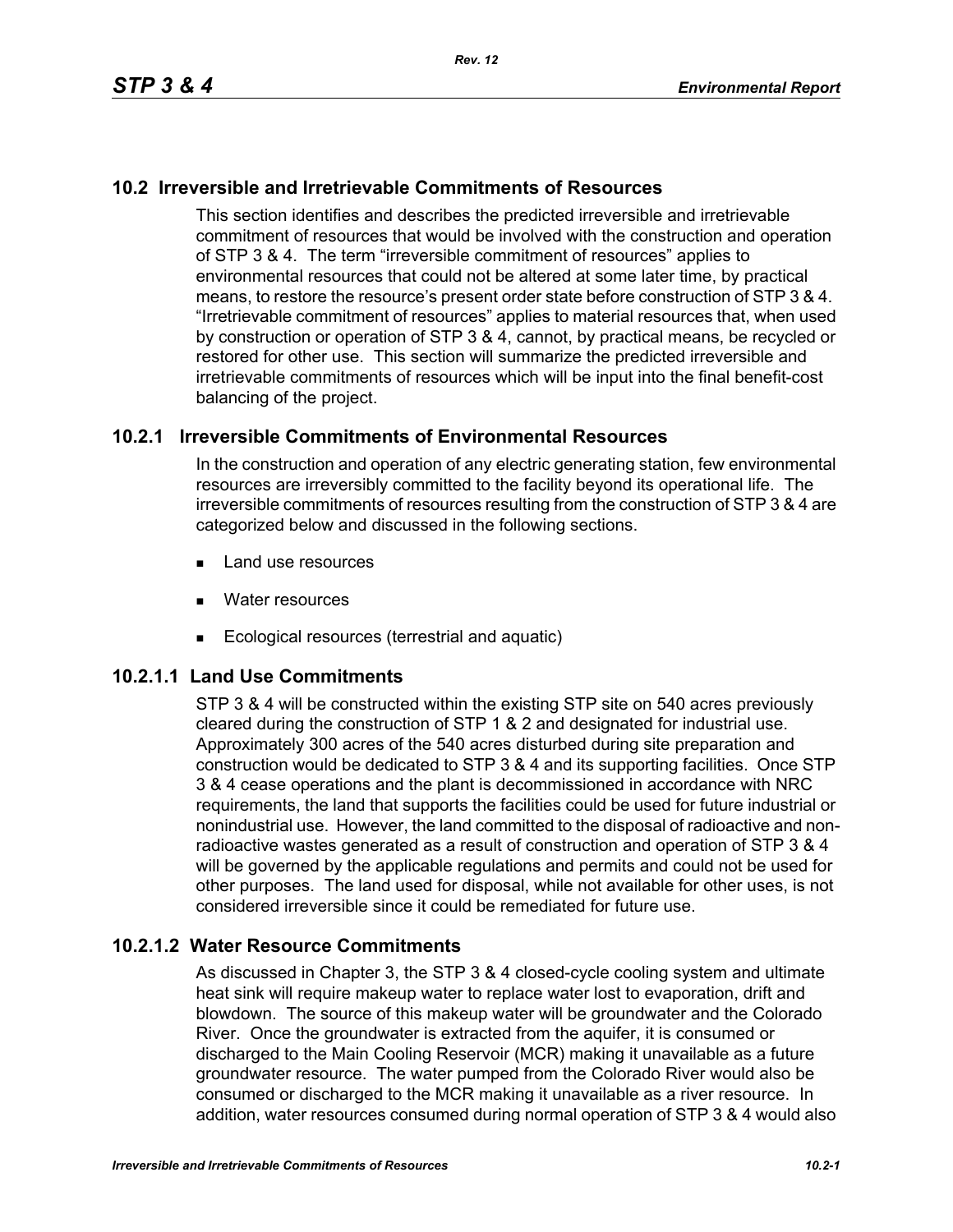## **10.2 Irreversible and Irretrievable Commitments of Resources**

This section identifies and describes the predicted irreversible and irretrievable commitment of resources that would be involved with the construction and operation of STP 3 & 4. The term "irreversible commitment of resources" applies to environmental resources that could not be altered at some later time, by practical means, to restore the resource's present order state before construction of STP 3 & 4. "Irretrievable commitment of resources" applies to material resources that, when used by construction or operation of STP 3 & 4, cannot, by practical means, be recycled or restored for other use. This section will summarize the predicted irreversible and irretrievable commitments of resources which will be input into the final benefit-cost balancing of the project.

## **10.2.1 Irreversible Commitments of Environmental Resources**

In the construction and operation of any electric generating station, few environmental resources are irreversibly committed to the facility beyond its operational life. The irreversible commitments of resources resulting from the construction of STP 3 & 4 are categorized below and discussed in the following sections.

- **Land use resources**
- **Nater resources**
- Ecological resources (terrestrial and aquatic)

## **10.2.1.1 Land Use Commitments**

STP 3 & 4 will be constructed within the existing STP site on 540 acres previously cleared during the construction of STP 1 & 2 and designated for industrial use. Approximately 300 acres of the 540 acres disturbed during site preparation and construction would be dedicated to STP 3 & 4 and its supporting facilities. Once STP 3 & 4 cease operations and the plant is decommissioned in accordance with NRC requirements, the land that supports the facilities could be used for future industrial or nonindustrial use. However, the land committed to the disposal of radioactive and nonradioactive wastes generated as a result of construction and operation of STP 3 & 4 will be governed by the applicable regulations and permits and could not be used for other purposes. The land used for disposal, while not available for other uses, is not considered irreversible since it could be remediated for future use.

#### **10.2.1.2 Water Resource Commitments**

As discussed in Chapter 3, the STP 3 & 4 closed-cycle cooling system and ultimate heat sink will require makeup water to replace water lost to evaporation, drift and blowdown. The source of this makeup water will be groundwater and the Colorado River. Once the groundwater is extracted from the aquifer, it is consumed or discharged to the Main Cooling Reservoir (MCR) making it unavailable as a future groundwater resource. The water pumped from the Colorado River would also be consumed or discharged to the MCR making it unavailable as a river resource. In addition, water resources consumed during normal operation of STP 3 & 4 would also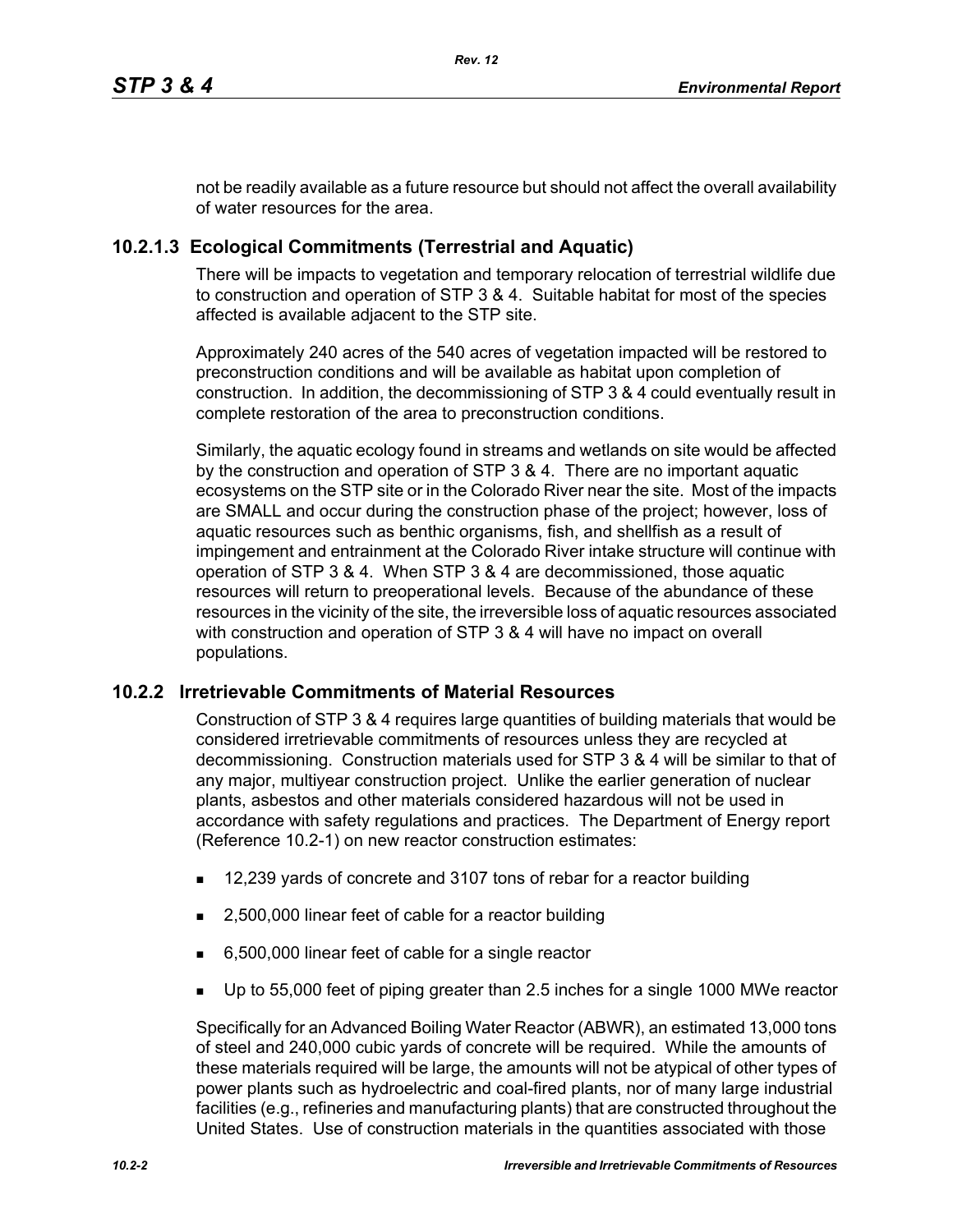not be readily available as a future resource but should not affect the overall availability of water resources for the area.

# **10.2.1.3 Ecological Commitments (Terrestrial and Aquatic)**

There will be impacts to vegetation and temporary relocation of terrestrial wildlife due to construction and operation of STP 3 & 4. Suitable habitat for most of the species affected is available adjacent to the STP site.

Approximately 240 acres of the 540 acres of vegetation impacted will be restored to preconstruction conditions and will be available as habitat upon completion of construction. In addition, the decommissioning of STP 3 & 4 could eventually result in complete restoration of the area to preconstruction conditions.

Similarly, the aquatic ecology found in streams and wetlands on site would be affected by the construction and operation of STP 3 & 4. There are no important aquatic ecosystems on the STP site or in the Colorado River near the site. Most of the impacts are SMALL and occur during the construction phase of the project; however, loss of aquatic resources such as benthic organisms, fish, and shellfish as a result of impingement and entrainment at the Colorado River intake structure will continue with operation of STP 3 & 4. When STP 3 & 4 are decommissioned, those aquatic resources will return to preoperational levels. Because of the abundance of these resources in the vicinity of the site, the irreversible loss of aquatic resources associated with construction and operation of STP 3 & 4 will have no impact on overall populations.

## **10.2.2 Irretrievable Commitments of Material Resources**

Construction of STP 3 & 4 requires large quantities of building materials that would be considered irretrievable commitments of resources unless they are recycled at decommissioning. Construction materials used for STP 3 & 4 will be similar to that of any major, multiyear construction project. Unlike the earlier generation of nuclear plants, asbestos and other materials considered hazardous will not be used in accordance with safety regulations and practices. The Department of Energy report (Reference 10.2-1) on new reactor construction estimates:

- 12,239 yards of concrete and 3107 tons of rebar for a reactor building
- 2,500,000 linear feet of cable for a reactor building
- 6,500,000 linear feet of cable for a single reactor
- Up to 55,000 feet of piping greater than 2.5 inches for a single 1000 MWe reactor

Specifically for an Advanced Boiling Water Reactor (ABWR), an estimated 13,000 tons of steel and 240,000 cubic yards of concrete will be required. While the amounts of these materials required will be large, the amounts will not be atypical of other types of power plants such as hydroelectric and coal-fired plants, nor of many large industrial facilities (e.g., refineries and manufacturing plants) that are constructed throughout the United States. Use of construction materials in the quantities associated with those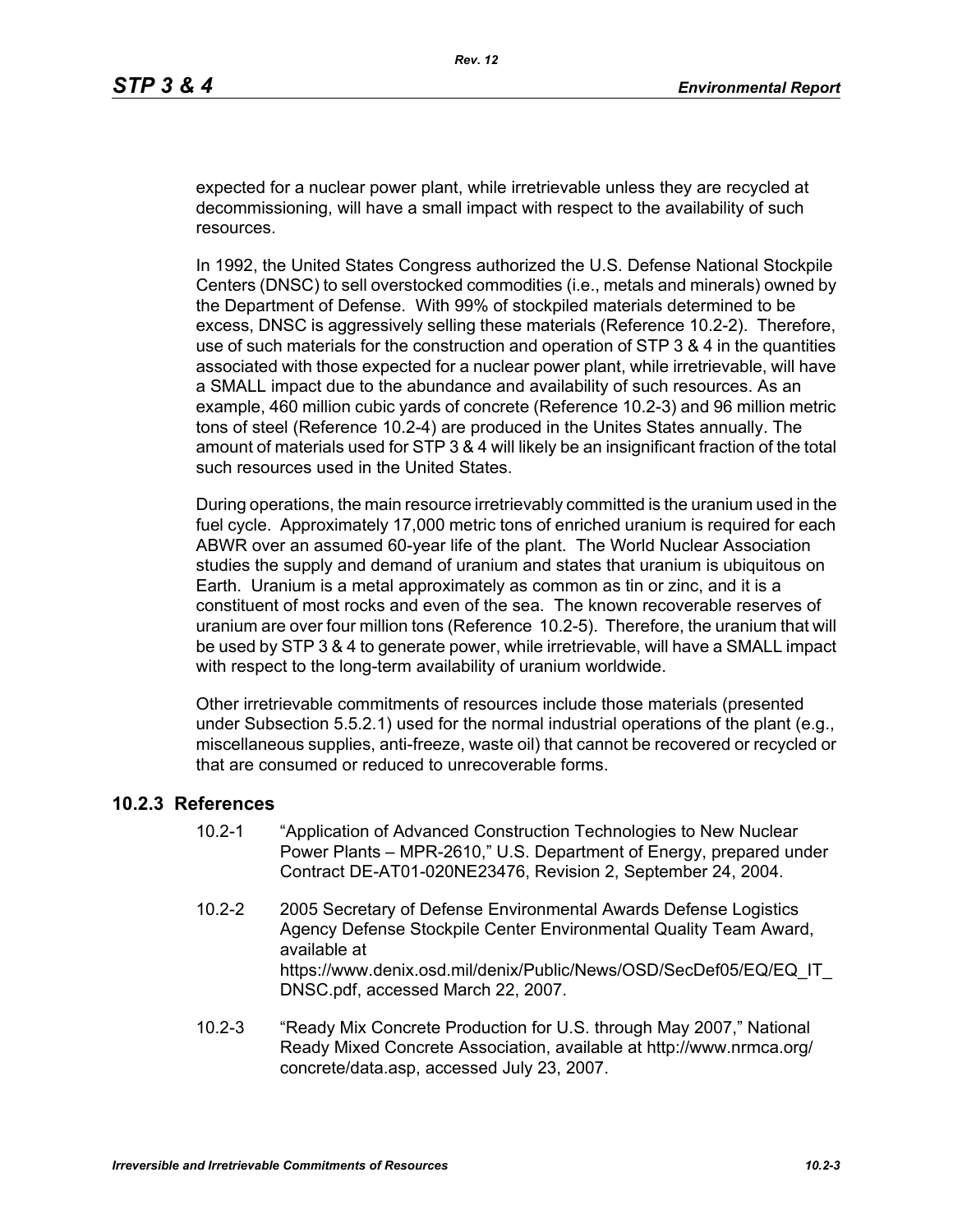expected for a nuclear power plant, while irretrievable unless they are recycled at decommissioning, will have a small impact with respect to the availability of such resources.

In 1992, the United States Congress authorized the U.S. Defense National Stockpile Centers (DNSC) to sell overstocked commodities (i.e., metals and minerals) owned by the Department of Defense. With 99% of stockpiled materials determined to be excess, DNSC is aggressively selling these materials (Reference 10.2-2). Therefore, use of such materials for the construction and operation of STP 3 & 4 in the quantities associated with those expected for a nuclear power plant, while irretrievable, will have a SMALL impact due to the abundance and availability of such resources. As an example, 460 million cubic yards of concrete (Reference 10.2-3) and 96 million metric tons of steel (Reference 10.2-4) are produced in the Unites States annually. The amount of materials used for STP 3 & 4 will likely be an insignificant fraction of the total such resources used in the United States.

During operations, the main resource irretrievably committed is the uranium used in the fuel cycle. Approximately 17,000 metric tons of enriched uranium is required for each ABWR over an assumed 60-year life of the plant. The World Nuclear Association studies the supply and demand of uranium and states that uranium is ubiquitous on Earth. Uranium is a metal approximately as common as tin or zinc, and it is a constituent of most rocks and even of the sea. The known recoverable reserves of uranium are over four million tons (Reference 10.2-5). Therefore, the uranium that will be used by STP 3 & 4 to generate power, while irretrievable, will have a SMALL impact with respect to the long-term availability of uranium worldwide.

Other irretrievable commitments of resources include those materials (presented under Subsection 5.5.2.1) used for the normal industrial operations of the plant (e.g., miscellaneous supplies, anti-freeze, waste oil) that cannot be recovered or recycled or that are consumed or reduced to unrecoverable forms.

#### **10.2.3 References**

- 10.2-1 "Application of Advanced Construction Technologies to New Nuclear Power Plants – MPR-2610," U.S. Department of Energy, prepared under Contract DE-AT01-020NE23476, Revision 2, September 24, 2004.
- 10.2-2 2005 Secretary of Defense Environmental Awards Defense Logistics Agency Defense Stockpile Center Environmental Quality Team Award, available at https://www.denix.osd.mil/denix/Public/News/OSD/SecDef05/EQ/EQ\_IT DNSC.pdf, accessed March 22, 2007.
- 10.2-3 "Ready Mix Concrete Production for U.S. through May 2007," National Ready Mixed Concrete Association, available at http://www.nrmca.org/ concrete/data.asp, accessed July 23, 2007.